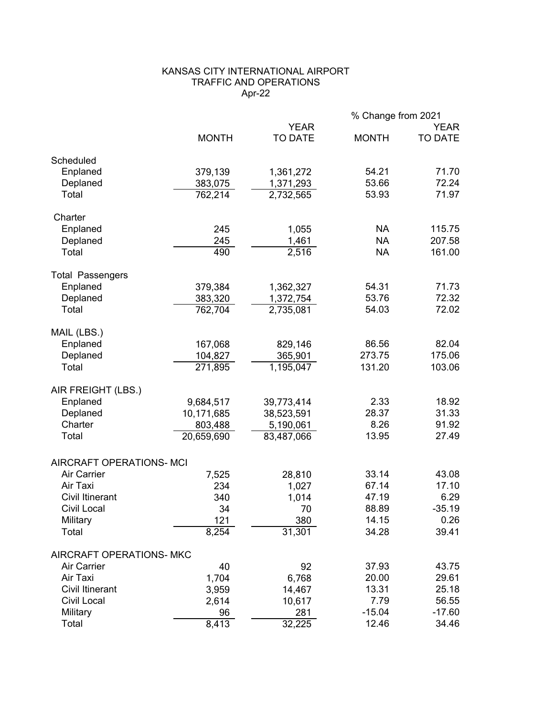## KANSAS CITY INTERNATIONAL AIRPORT TRAFFIC AND OPERATIONS Apr-22

|                          |              |                               | % Change from 2021 |                        |
|--------------------------|--------------|-------------------------------|--------------------|------------------------|
|                          | <b>MONTH</b> | <b>YEAR</b><br><b>TO DATE</b> | <b>MONTH</b>       | <b>YEAR</b><br>TO DATE |
| Scheduled                |              |                               |                    |                        |
| Enplaned                 | 379,139      | 1,361,272                     | 54.21              | 71.70                  |
| Deplaned                 | 383,075      | 1,371,293                     | 53.66              | 72.24                  |
| Total                    | 762,214      | 2,732,565                     | 53.93              | 71.97                  |
| Charter                  |              |                               |                    |                        |
| Enplaned                 | 245          | 1,055                         | <b>NA</b>          | 115.75                 |
| Deplaned                 | 245          | 1,461                         | <b>NA</b>          | 207.58                 |
| Total                    | 490          | 2,516                         | <b>NA</b>          | 161.00                 |
| <b>Total Passengers</b>  |              |                               |                    |                        |
| Enplaned                 | 379,384      | 1,362,327                     | 54.31              | 71.73                  |
| Deplaned                 | 383,320      | 1,372,754                     | 53.76              | 72.32                  |
| Total                    | 762,704      | 2,735,081                     | 54.03              | 72.02                  |
| MAIL (LBS.)              |              |                               |                    |                        |
| Enplaned                 | 167,068      | 829,146                       | 86.56              | 82.04                  |
| Deplaned                 | 104,827      | 365,901                       | 273.75             | 175.06                 |
| Total                    | 271,895      | 1,195,047                     | 131.20             | 103.06                 |
| AIR FREIGHT (LBS.)       |              |                               |                    |                        |
| Enplaned                 | 9,684,517    | 39,773,414                    | 2.33               | 18.92                  |
| Deplaned                 | 10,171,685   | 38,523,591                    | 28.37              | 31.33                  |
| Charter                  | 803,488      | 5,190,061                     | 8.26               | 91.92                  |
| Total                    | 20,659,690   | 83,487,066                    | 13.95              | 27.49                  |
| AIRCRAFT OPERATIONS- MCI |              |                               |                    |                        |
| <b>Air Carrier</b>       | 7,525        | 28,810                        | 33.14              | 43.08                  |
| Air Taxi                 | 234          | 1,027                         | 67.14              | 17.10                  |
| <b>Civil Itinerant</b>   | 340          | 1,014                         | 47.19              | 6.29                   |
| Civil Local              | 34           | 70                            | 88.89              | $-35.19$               |
| Military                 | 121          | 380                           | 14.15              | 0.26                   |
| Total                    | 8,254        | 31,301                        | 34.28              | 39.41                  |
| AIRCRAFT OPERATIONS- MKC |              |                               |                    |                        |
| <b>Air Carrier</b>       | 40           | 92                            | 37.93              | 43.75                  |
| Air Taxi                 | 1,704        | 6,768                         | 20.00              | 29.61                  |
| <b>Civil Itinerant</b>   | 3,959        | 14,467                        | 13.31              | 25.18                  |
| <b>Civil Local</b>       | 2,614        | 10,617                        | 7.79               | 56.55                  |
| Military                 | 96           | 281                           | $-15.04$           | $-17.60$               |
| Total                    | 8,413        | 32,225                        | 12.46              | 34.46                  |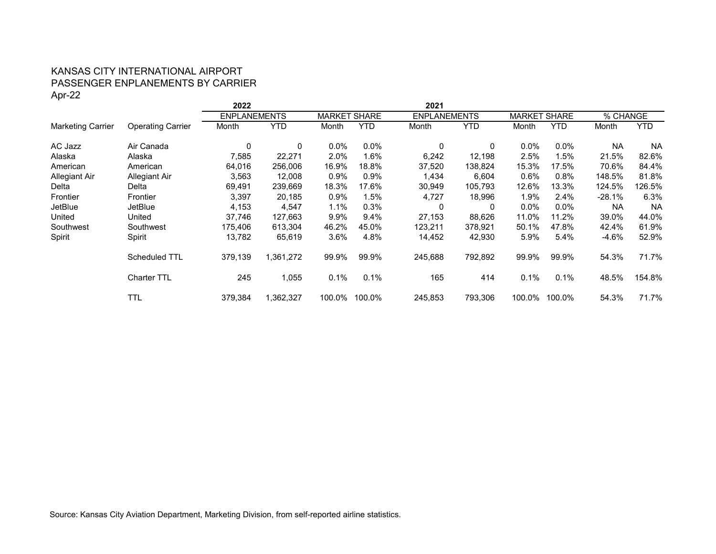# KANSAS CITY INTERNATIONAL AIRPORT PASSENGER ENPLANEMENTS BY CARRIER Apr-22

|                          |                          | 2022                |            |               |            | 2021                |            |                               |            |           |            |
|--------------------------|--------------------------|---------------------|------------|---------------|------------|---------------------|------------|-------------------------------|------------|-----------|------------|
|                          |                          | <b>ENPLANEMENTS</b> |            | <b>MARKET</b> | SHARE      | <b>ENPLANEMENTS</b> |            | <b>MARKET</b><br><b>SHARE</b> |            | % CHANGE  |            |
| <b>Marketing Carrier</b> | <b>Operating Carrier</b> | Month               | <b>YTD</b> | Month         | <b>YTD</b> | Month               | <b>YTD</b> | Month                         | <b>YTD</b> | Month     | <b>YTD</b> |
| AC Jazz                  | Air Canada               | 0                   | 0          | $0.0\%$       | $0.0\%$    | 0                   | 0          | $0.0\%$                       | $0.0\%$    | <b>NA</b> | <b>NA</b>  |
| Alaska                   | Alaska                   | 7,585               | 22,271     | 2.0%          | 1.6%       | 6,242               | 12,198     | 2.5%                          | 1.5%       | 21.5%     | 82.6%      |
| American                 | American                 | 64,016              | 256,006    | 16.9%         | 18.8%      | 37,520              | 138,824    | 15.3%                         | 17.5%      | 70.6%     | 84.4%      |
| Allegiant Air            | Allegiant Air            | 3,563               | 12,008     | $0.9\%$       | 0.9%       | 1,434               | 6,604      | $0.6\%$                       | 0.8%       | 148.5%    | 81.8%      |
| Delta                    | Delta                    | 69,491              | 239,669    | 18.3%         | 17.6%      | 30,949              | 105,793    | 12.6%                         | 13.3%      | 124.5%    | 126.5%     |
| Frontier                 | Frontier                 | 3,397               | 20,185     | $0.9\%$       | 1.5%       | 4,727               | 18,996     | 1.9%                          | 2.4%       | -28.1%    | 6.3%       |
| JetBlue                  | <b>JetBlue</b>           | 4,153               | 4,547      | $1.1\%$       | 0.3%       | 0                   | 0          | $0.0\%$                       | $0.0\%$    | <b>NA</b> | <b>NA</b>  |
| United                   | United                   | 37,746              | 127,663    | 9.9%          | 9.4%       | 27,153              | 88,626     | 11.0%                         | 11.2%      | 39.0%     | 44.0%      |
| Southwest                | Southwest                | 175,406             | 613,304    | 46.2%         | 45.0%      | 123,211             | 378,921    | 50.1%                         | 47.8%      | 42.4%     | 61.9%      |
| Spirit                   | Spirit                   | 13,782              | 65,619     | $3.6\%$       | 4.8%       | 14,452              | 42,930     | 5.9%                          | 5.4%       | $-4.6%$   | 52.9%      |
|                          | Scheduled TTL            | 379,139             | 1,361,272  | 99.9%         | 99.9%      | 245,688             | 792,892    | 99.9%                         | 99.9%      | 54.3%     | 71.7%      |
|                          | <b>Charter TTL</b>       | 245                 | 1,055      | 0.1%          | 0.1%       | 165                 | 414        | 0.1%                          | 0.1%       | 48.5%     | 154.8%     |
|                          | TTL                      | 379,384             | 1,362,327  | 100.0%        | 100.0%     | 245,853             | 793,306    | 100.0%                        | 100.0%     | 54.3%     | 71.7%      |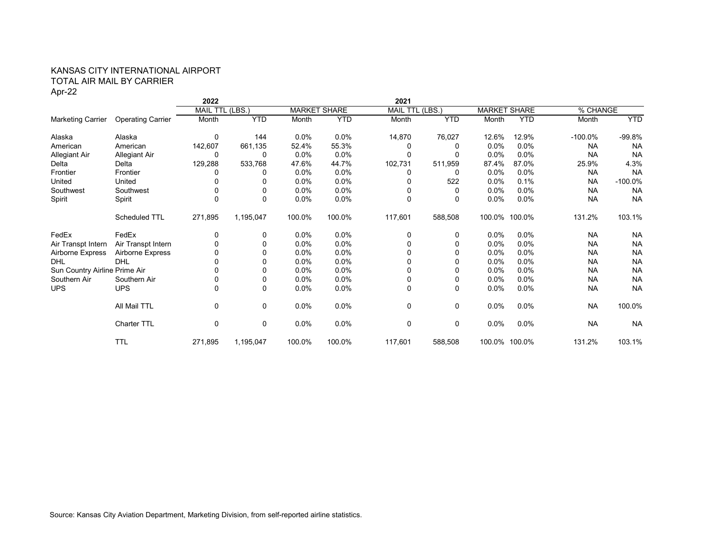## KANSAS CITY INTERNATIONAL AIRPORT TOTAL AIR MAIL BY CARRIER Apr-22

|                               |                          | 2022     |                          |         |                     | 2021            |            |                     |               |            |            |
|-------------------------------|--------------------------|----------|--------------------------|---------|---------------------|-----------------|------------|---------------------|---------------|------------|------------|
|                               |                          |          | (LBS.<br><b>MAIL TTL</b> |         | <b>MARKET SHARE</b> | <b>MAIL TTL</b> | (LBS.      | <b>MARKET SHARE</b> |               | % CHANGE   |            |
| <b>Marketing Carrier</b>      | <b>Operating Carrier</b> | Month    | <b>YTD</b>               | Month   | <b>YTD</b>          | Month           | <b>YTD</b> | Month               | <b>YTD</b>    | Month      | <b>YTD</b> |
| Alaska                        | Alaska                   | 0        | 144                      | $0.0\%$ | 0.0%                | 14,870          | 76,027     | 12.6%               | 12.9%         | $-100.0\%$ | $-99.8%$   |
| American                      | American                 | 142,607  | 661,135                  | 52.4%   | 55.3%               | 0               | 0          | 0.0%                | $0.0\%$       | <b>NA</b>  | <b>NA</b>  |
| Allegiant Air                 | Allegiant Air            | 0        | 0                        | $0.0\%$ | 0.0%                | 0               | 0          | 0.0%                | $0.0\%$       | <b>NA</b>  | <b>NA</b>  |
| Delta                         | Delta                    | 129,288  | 533,768                  | 47.6%   | 44.7%               | 102,731         | 511,959    | 87.4%               | 87.0%         | 25.9%      | 4.3%       |
| Frontier                      | Frontier                 | 0        | 0                        | $0.0\%$ | 0.0%                | 0               | 0          | 0.0%                | 0.0%          | <b>NA</b>  | <b>NA</b>  |
| United                        | United                   | 0        | 0                        | $0.0\%$ | 0.0%                | 0               | 522        | 0.0%                | 0.1%          | <b>NA</b>  | $-100.0\%$ |
| Southwest                     | Southwest                | 0        | 0                        | $0.0\%$ | 0.0%                | 0               | 0          | 0.0%                | 0.0%          | <b>NA</b>  | <b>NA</b>  |
| Spirit                        | Spirit                   | $\Omega$ | 0                        | 0.0%    | 0.0%                | $\Omega$        | $\Omega$   | 0.0%                | 0.0%          | <b>NA</b>  | <b>NA</b>  |
|                               | Scheduled TTL            | 271,895  | 1,195,047                | 100.0%  | 100.0%              | 117,601         | 588,508    |                     | 100.0% 100.0% | 131.2%     | 103.1%     |
| FedEx                         | FedEx                    | 0        | 0                        | $0.0\%$ | 0.0%                | 0               | 0          | $0.0\%$             | $0.0\%$       | <b>NA</b>  | <b>NA</b>  |
| Air Transpt Intern            | Air Transpt Intern       | 0        | 0                        | $0.0\%$ | 0.0%                | $\Omega$        | $\Omega$   | $0.0\%$             | 0.0%          | <b>NA</b>  | <b>NA</b>  |
| Airborne Express              | Airborne Express         | 0        | 0                        | $0.0\%$ | 0.0%                |                 |            | 0.0%                | $0.0\%$       | <b>NA</b>  | <b>NA</b>  |
| <b>DHL</b>                    | <b>DHL</b>               | 0        | $\Omega$                 | $0.0\%$ | 0.0%                | 0               | 0          | 0.0%                | $0.0\%$       | <b>NA</b>  | <b>NA</b>  |
| Sun Country Airline Prime Air |                          | 0        | 0                        | $0.0\%$ | 0.0%                | $\Omega$        |            | 0.0%                | 0.0%          | <b>NA</b>  | <b>NA</b>  |
| Southern Air                  | Southern Air             | 0        | 0                        | $0.0\%$ | 0.0%                | 0               | 0          | 0.0%                | 0.0%          | <b>NA</b>  | <b>NA</b>  |
| <b>UPS</b>                    | <b>UPS</b>               | 0        | 0                        | $0.0\%$ | 0.0%                | $\Omega$        | 0          | 0.0%                | 0.0%          | <b>NA</b>  | <b>NA</b>  |
|                               | All Mail TTL             | 0        | 0                        | 0.0%    | 0.0%                | 0               | 0          | 0.0%                | 0.0%          | <b>NA</b>  | 100.0%     |
|                               | Charter TTL              | 0        | 0                        | $0.0\%$ | $0.0\%$             | 0               | 0          | $0.0\%$             | $0.0\%$       | <b>NA</b>  | <b>NA</b>  |
|                               | <b>TTL</b>               | 271,895  | 1,195,047                | 100.0%  | 100.0%              | 117,601         | 588,508    |                     | 100.0% 100.0% | 131.2%     | 103.1%     |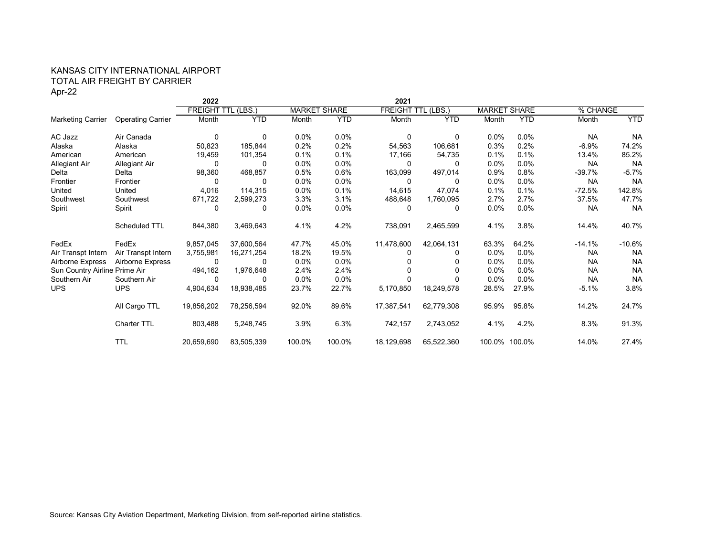## KANSAS CITY INTERNATIONAL AIRPORT TOTAL AIR FREIGHT BY CARRIER Apr-22

|                               |                          | 2022                      |            |         |                     | 2021                      |            |         |                     |           |            |
|-------------------------------|--------------------------|---------------------------|------------|---------|---------------------|---------------------------|------------|---------|---------------------|-----------|------------|
|                               |                          | <b>FREIGHT TTL (LBS.)</b> |            |         | <b>MARKET SHARE</b> | <b>FREIGHT TTL (LBS.)</b> |            |         | <b>MARKET SHARE</b> | % CHANGE  |            |
| <b>Marketing Carrier</b>      | <b>Operating Carrier</b> | Month                     | <b>YTD</b> | Month   | <b>YTD</b>          | Month                     | <b>YTD</b> | Month   | <b>YTD</b>          | Month     | <b>YTD</b> |
| AC Jazz                       | Air Canada               | 0                         | 0          | $0.0\%$ | $0.0\%$             | 0                         | 0          | $0.0\%$ | 0.0%                | <b>NA</b> | <b>NA</b>  |
| Alaska                        | Alaska                   | 50,823                    | 185,844    | 0.2%    | 0.2%                | 54,563                    | 106,681    | 0.3%    | 0.2%                | $-6.9%$   | 74.2%      |
| American                      | American                 | 19,459                    | 101,354    | 0.1%    | 0.1%                | 17,166                    | 54,735     | 0.1%    | 0.1%                | 13.4%     | 85.2%      |
| Allegiant Air                 | Allegiant Air            | 0                         | 0          | $0.0\%$ | $0.0\%$             | 0                         | 0          | $0.0\%$ | 0.0%                | <b>NA</b> | <b>NA</b>  |
| Delta                         | Delta                    | 98,360                    | 468,857    | 0.5%    | 0.6%                | 163,099                   | 497,014    | 0.9%    | 0.8%                | $-39.7%$  | $-5.7%$    |
| Frontier                      | Frontier                 | 0                         | 0          | $0.0\%$ | $0.0\%$             | $\Omega$                  | $\Omega$   | $0.0\%$ | 0.0%                | <b>NA</b> | <b>NA</b>  |
| United                        | United                   | 4,016                     | 114,315    | $0.0\%$ | 0.1%                | 14,615                    | 47,074     | 0.1%    | 0.1%                | $-72.5%$  | 142.8%     |
| Southwest                     | Southwest                | 671,722                   | 2,599,273  | 3.3%    | 3.1%                | 488,648                   | 1,760,095  | 2.7%    | 2.7%                | 37.5%     | 47.7%      |
| Spirit                        | Spirit                   | 0                         | 0          | $0.0\%$ | $0.0\%$             | 0                         | 0          | 0.0%    | $0.0\%$             | <b>NA</b> | <b>NA</b>  |
|                               | Scheduled TTL            | 844,380                   | 3,469,643  | 4.1%    | 4.2%                | 738,091                   | 2,465,599  | 4.1%    | 3.8%                | 14.4%     | 40.7%      |
| FedEx                         | FedEx                    | 9,857,045                 | 37,600,564 | 47.7%   | 45.0%               | 11,478,600                | 42,064,131 | 63.3%   | 64.2%               | $-14.1%$  | $-10.6%$   |
| Air Transpt Intern            | Air Transpt Intern       | 3,755,981                 | 16,271,254 | 18.2%   | 19.5%               |                           | 0          | 0.0%    | 0.0%                | NA        | <b>NA</b>  |
| Airborne Express              | Airborne Express         | 0                         | 0          | $0.0\%$ | $0.0\%$             | 0                         | 0          | 0.0%    | 0.0%                | <b>NA</b> | <b>NA</b>  |
| Sun Country Airline Prime Air |                          | 494,162                   | 1,976,648  | 2.4%    | 2.4%                |                           |            | $0.0\%$ | 0.0%                | <b>NA</b> | <b>NA</b>  |
| Southern Air                  | Southern Air             | 0                         | 0          | $0.0\%$ | $0.0\%$             |                           |            | 0.0%    | 0.0%                | <b>NA</b> | <b>NA</b>  |
| <b>UPS</b>                    | <b>UPS</b>               | 4,904,634                 | 18,938,485 | 23.7%   | 22.7%               | 5,170,850                 | 18,249,578 | 28.5%   | 27.9%               | $-5.1%$   | 3.8%       |
|                               | All Cargo TTL            | 19,856,202                | 78,256,594 | 92.0%   | 89.6%               | 17,387,541                | 62,779,308 | 95.9%   | 95.8%               | 14.2%     | 24.7%      |
|                               | <b>Charter TTL</b>       | 803,488                   | 5,248,745  | 3.9%    | 6.3%                | 742,157                   | 2,743,052  | 4.1%    | 4.2%                | 8.3%      | 91.3%      |
|                               | <b>TTL</b>               | 20,659,690                | 83,505,339 | 100.0%  | 100.0%              | 18,129,698                | 65,522,360 |         | 100.0% 100.0%       | 14.0%     | 27.4%      |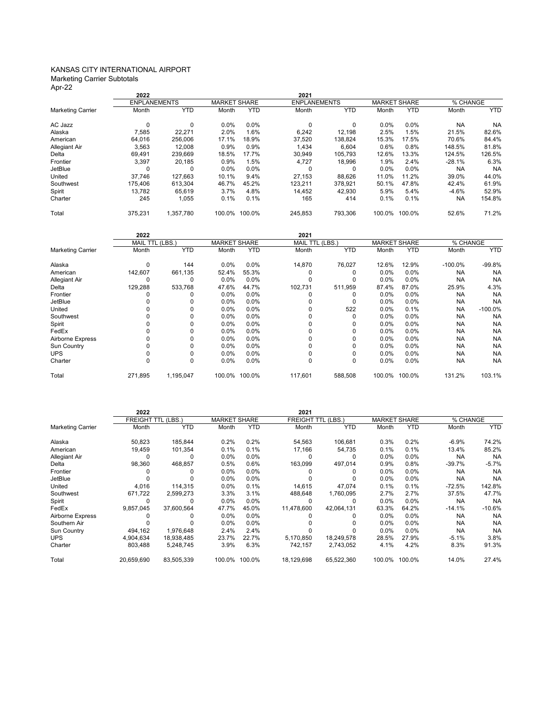#### KANSAS CITY INTERNATIONAL AIRPORT Marketing Carrier Subtotals

Apr-22

|                          | 2022                |            |                     |            | 2021                |            |                     |            |           |            |
|--------------------------|---------------------|------------|---------------------|------------|---------------------|------------|---------------------|------------|-----------|------------|
|                          | <b>ENPLANEMENTS</b> |            | <b>MARKET SHARE</b> |            | <b>ENPLANEMENTS</b> |            | <b>MARKET SHARE</b> |            | % CHANGE  |            |
| <b>Marketing Carrier</b> | Month               | <b>YTD</b> | Month               | <b>YTD</b> | Month               | <b>YTD</b> | Month               | <b>YTD</b> | Month     | <b>YTD</b> |
| AC Jazz                  | $\Omega$            | 0          | 0.0%                | 0.0%       | $\Omega$            | $\Omega$   | 0.0%                | 0.0%       | <b>NA</b> | <b>NA</b>  |
| Alaska                   | 7,585               | 22,271     | 2.0%                | 1.6%       | 6,242               | 12,198     | 2.5%                | 1.5%       | 21.5%     | 82.6%      |
| American                 | 64,016              | 256.006    | 17.1%               | 18.9%      | 37,520              | 138,824    | 15.3%               | 17.5%      | 70.6%     | 84.4%      |
| Allegiant Air            | 3,563               | 12.008     | 0.9%                | 0.9%       | 1.434               | 6,604      | 0.6%                | 0.8%       | 148.5%    | 81.8%      |
| Delta                    | 69.491              | 239.669    | 18.5%               | 17.7%      | 30.949              | 105.793    | 12.6%               | 13.3%      | 124.5%    | 126.5%     |
| Frontier                 | 3,397               | 20.185     | 0.9%                | 1.5%       | 4.727               | 18,996     | 1.9%                | 2.4%       | $-28.1%$  | 6.3%       |
| JetBlue                  | 0                   | 0          | 0.0%                | 0.0%       | 0                   | 0          | 0.0%                | 0.0%       | <b>NA</b> | <b>NA</b>  |
| United                   | 37.746              | 127.663    | 10.1%               | 9.4%       | 27.153              | 88.626     | 11.0%               | 11.2%      | 39.0%     | 44.0%      |
| Southwest                | 175.406             | 613.304    | 46.7%               | 45.2%      | 123.211             | 378.921    | 50.1%               | 47.8%      | 42.4%     | 61.9%      |
| Spirit                   | 13,782              | 65,619     | 3.7%                | 4.8%       | 14,452              | 42,930     | 5.9%                | 5.4%       | $-4.6%$   | 52.9%      |
| Charter                  | 245                 | 1,055      | 0.1%                | 0.1%       | 165                 | 414        | 0.1%                | 0.1%       | <b>NA</b> | 154.8%     |
| Total                    | 375.231             | 1.357.780  | 100.0%              | 100.0%     | 245,853             | 793,306    | 100.0%              | 100.0%     | 52.6%     | 71.2%      |

|                          | 2022            |            |         |                     | 2021    |                 |         |                     |            |            |
|--------------------------|-----------------|------------|---------|---------------------|---------|-----------------|---------|---------------------|------------|------------|
|                          | MAIL TTL (LBS.) |            |         | <b>MARKET SHARE</b> |         | MAIL TTL (LBS.) |         | <b>MARKET SHARE</b> |            | % CHANGE   |
| <b>Marketing Carrier</b> | Month           | <b>YTD</b> | Month   | <b>YTD</b>          | Month   | <b>YTD</b>      | Month   | <b>YTD</b>          | Month      | <b>YTD</b> |
| Alaska                   | $\Omega$        | 144        | 0.0%    | 0.0%                | 14,870  | 76,027          | 12.6%   | 12.9%               | $-100.0\%$ | $-99.8%$   |
| American                 | 142,607         | 661,135    | 52.4%   | 55.3%               |         |                 | $0.0\%$ | 0.0%                | <b>NA</b>  | <b>NA</b>  |
| <b>Allegiant Air</b>     | 0               | 0          | 0.0%    | 0.0%                |         | O               | 0.0%    | 0.0%                | <b>NA</b>  | <b>NA</b>  |
| Delta                    | 129,288         | 533,768    | 47.6%   | 44.7%               | 102,731 | 511,959         | 87.4%   | 87.0%               | 25.9%      | 4.3%       |
| Frontier                 |                 |            | 0.0%    | 0.0%                |         | 0               | $0.0\%$ | 0.0%                | <b>NA</b>  | <b>NA</b>  |
| JetBlue                  |                 |            | 0.0%    | $0.0\%$             |         | 0               | $0.0\%$ | 0.0%                | <b>NA</b>  | <b>NA</b>  |
| United                   |                 |            | 0.0%    | 0.0%                |         | 522             | 0.0%    | 0.1%                | <b>NA</b>  | $-100.0%$  |
| Southwest                |                 |            | $0.0\%$ | $0.0\%$             |         | 0               | $0.0\%$ | $0.0\%$             | <b>NA</b>  | <b>NA</b>  |
| Spirit                   |                 |            | 0.0%    | $0.0\%$             |         | 0               | $0.0\%$ | 0.0%                | <b>NA</b>  | <b>NA</b>  |
| FedEx                    |                 |            | $0.0\%$ | $0.0\%$             |         | 0               | $0.0\%$ | 0.0%                | <b>NA</b>  | <b>NA</b>  |
| Airborne Express         |                 |            | $0.0\%$ | $0.0\%$             |         | $\Omega$        | $0.0\%$ | 0.0%                | <b>NA</b>  | <b>NA</b>  |
| Sun Country              |                 |            | 0.0%    | 0.0%                |         | 0               | $0.0\%$ | 0.0%                | <b>NA</b>  | <b>NA</b>  |
| <b>UPS</b>               |                 |            | 0.0%    | 0.0%                |         | 0               | $0.0\%$ | 0.0%                | <b>NA</b>  | <b>NA</b>  |
| Charter                  | 0               | 0          | 0.0%    | $0.0\%$             | 0       | 0               | $0.0\%$ | 0.0%                | <b>NA</b>  | <b>NA</b>  |
| Total                    | 271,895         | 1,195,047  | 100.0%  | 100.0%              | 117,601 | 588,508         | 100.0%  | 100.0%              | 131.2%     | 103.1%     |

|                          | 2022       |                           |         |                     | 2021       |                           |         |                     |           |            |  |
|--------------------------|------------|---------------------------|---------|---------------------|------------|---------------------------|---------|---------------------|-----------|------------|--|
|                          |            | <b>FREIGHT TTL (LBS.)</b> |         | <b>MARKET SHARE</b> |            | <b>FREIGHT TTL (LBS.)</b> |         | <b>MARKET SHARE</b> |           | % CHANGE   |  |
| <b>Marketing Carrier</b> | Month      | <b>YTD</b>                | Month   | <b>YTD</b>          | Month      | <b>YTD</b>                | Month   | <b>YTD</b>          | Month     | <b>YTD</b> |  |
| Alaska                   | 50,823     | 185,844                   | 0.2%    | 0.2%                | 54,563     | 106,681                   | 0.3%    | 0.2%                | $-6.9%$   | 74.2%      |  |
| American                 | 19,459     | 101,354                   | 0.1%    | 0.1%                | 17,166     | 54,735                    | 0.1%    | 0.1%                | 13.4%     | 85.2%      |  |
| Allegiant Air            |            | 0                         | $0.0\%$ | $0.0\%$             |            | 0                         | $0.0\%$ | $0.0\%$             | <b>NA</b> | <b>NA</b>  |  |
| Delta                    | 98,360     | 468.857                   | 0.5%    | 0.6%                | 163.099    | 497,014                   | 0.9%    | 0.8%                | $-39.7%$  | $-5.7%$    |  |
| Frontier                 |            | 0                         | $0.0\%$ | $0.0\%$             |            | 0                         | $0.0\%$ | $0.0\%$             | <b>NA</b> | <b>NA</b>  |  |
| JetBlue                  |            |                           | $0.0\%$ | $0.0\%$             |            | 0                         | $0.0\%$ | $0.0\%$             | <b>NA</b> | <b>NA</b>  |  |
| United                   | 4,016      | 114.315                   | $0.0\%$ | 0.1%                | 14,615     | 47,074                    | 0.1%    | 0.1%                | -72.5%    | 142.8%     |  |
| Southwest                | 671,722    | 2,599,273                 | 3.3%    | 3.1%                | 488.648    | 1.760.095                 | 2.7%    | 2.7%                | 37.5%     | 47.7%      |  |
| Spirit                   | 0          | 0                         | $0.0\%$ | $0.0\%$             | 0          | 0                         | $0.0\%$ | $0.0\%$             | <b>NA</b> | <b>NA</b>  |  |
| FedEx                    | 9,857,045  | 37,600,564                | 47.7%   | 45.0%               | 11,478,600 | 42,064,131                | 63.3%   | 64.2%               | $-14.1%$  | $-10.6%$   |  |
| Airborne Express         |            |                           | $0.0\%$ | $0.0\%$             |            | 0                         | $0.0\%$ | $0.0\%$             | <b>NA</b> | <b>NA</b>  |  |
| Southern Air             |            |                           | $0.0\%$ | 0.0%                |            | ŋ                         | $0.0\%$ | 0.0%                | <b>NA</b> | <b>NA</b>  |  |
| Sun Country              | 494,162    | 1,976,648                 | 2.4%    | 2.4%                |            |                           | 0.0%    | $0.0\%$             | <b>NA</b> | <b>NA</b>  |  |
| <b>UPS</b>               | 4,904,634  | 18,938,485                | 23.7%   | 22.7%               | 5,170,850  | 18,249,578                | 28.5%   | 27.9%               | $-5.1%$   | 3.8%       |  |
| Charter                  | 803,488    | 5,248,745                 | 3.9%    | 6.3%                | 742,157    | 2,743,052                 | 4.1%    | 4.2%                | 8.3%      | 91.3%      |  |
| Total                    | 20,659,690 | 83,505,339                | 100.0%  | 100.0%              | 18,129,698 | 65,522,360                | 100.0%  | 100.0%              | 14.0%     | 27.4%      |  |